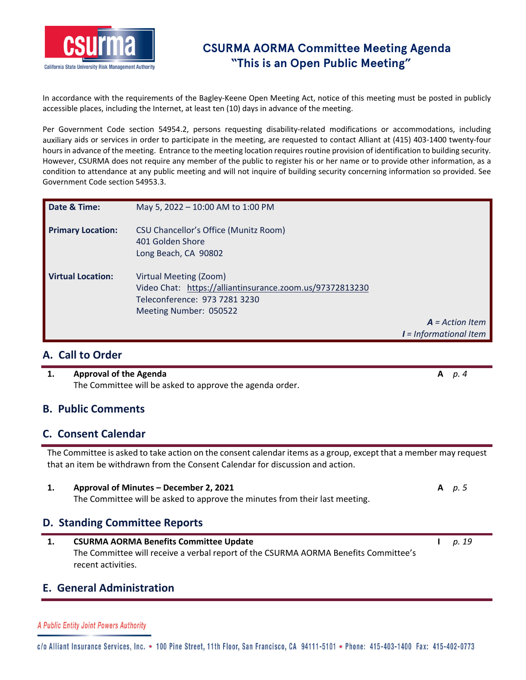

## **CSURMA AORMA Committee Meeting Agenda "This is an Open Public Meeting"**

In accordance with the requirements of the Bagley-Keene Open Meeting Act, notice of this meeting must be posted in publicly accessible places, including the Internet, at least ten (10) days in advance of the meeting.

Per Government Code section 54954.2, persons requesting disability-related modifications or accommodations, including auxiliary aids or services in order to participate in the meeting, are requested to contact Alliant at (415) 403‐1400 twenty‐four hours in advance of the meeting. Entrance to the meeting location requires routine provision of identification to building security. However, CSURMA does not require any member of the public to register his or her name or to provide other information, as a condition to attendance at any public meeting and will not inquire of building security concerning information so provided. See Government Code section 54953.3.

| Date & Time:             | May 5, 2022 - 10:00 AM to 1:00 PM                                                                                                             |                          |
|--------------------------|-----------------------------------------------------------------------------------------------------------------------------------------------|--------------------------|
| <b>Primary Location:</b> | CSU Chancellor's Office (Munitz Room)<br>401 Golden Shore<br>Long Beach, CA 90802                                                             |                          |
| <b>Virtual Location:</b> | Virtual Meeting (Zoom)<br>Video Chat: https://alliantinsurance.zoom.us/97372813230<br>Teleconference: 973 7281 3230<br>Meeting Number: 050522 |                          |
|                          |                                                                                                                                               | $A = Action$ Item        |
|                          |                                                                                                                                               | $I = Informational$ Item |

### **A. Call to Order**

#### **1. Approval of the Agenda A** *p. 4* The Committee will be asked to approve the agenda order.

### **B. Public Comments**

### **C. Consent Calendar**

The Committee is asked to take action on the consent calendar items as a group, except that a member may request that an item be withdrawn from the Consent Calendar for discussion and action.

**1. Approval of Minutes – December 2, 2021 A** *p. 5* The Committee will be asked to approve the minutes from their last meeting.

### **D. Standing Committee Reports**

**1. CSURMA AORMA Benefits Committee Update I** *p. 19* The Committee will receive a verbal report of the CSURMA AORMA Benefits Committee's recent activities.

### **E. General Administration**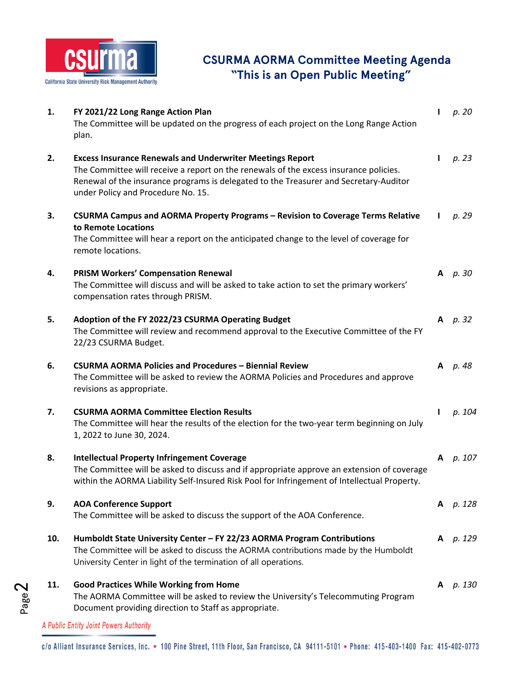

# **CSURMA AORMA Committee Meeting Agenda "This is an Open Public Meeting"**

| 1.  | FY 2021/22 Long Range Action Plan<br>The Committee will be updated on the progress of each project on the Long Range Action<br>plan.                                                                                                                                                     | $\mathbf{I}$ | p. 20      |
|-----|------------------------------------------------------------------------------------------------------------------------------------------------------------------------------------------------------------------------------------------------------------------------------------------|--------------|------------|
| 2.  | <b>Excess Insurance Renewals and Underwriter Meetings Report</b><br>The Committee will receive a report on the renewals of the excess insurance policies.<br>Renewal of the insurance programs is delegated to the Treasurer and Secretary-Auditor<br>under Policy and Procedure No. 15. | L            | p. 23      |
| 3.  | CSURMA Campus and AORMA Property Programs - Revision to Coverage Terms Relative<br>to Remote Locations<br>The Committee will hear a report on the anticipated change to the level of coverage for<br>remote locations.                                                                   |              | p. 29      |
| 4.  | <b>PRISM Workers' Compensation Renewal</b><br>The Committee will discuss and will be asked to take action to set the primary workers'<br>compensation rates through PRISM.                                                                                                               |              | $A$ $p.30$ |
| 5.  | Adoption of the FY 2022/23 CSURMA Operating Budget<br>The Committee will review and recommend approval to the Executive Committee of the FY<br>22/23 CSURMA Budget.                                                                                                                      |              | A $p.32$   |
| 6.  | <b>CSURMA AORMA Policies and Procedures - Biennial Review</b><br>The Committee will be asked to review the AORMA Policies and Procedures and approve<br>revisions as appropriate.                                                                                                        |              | A p. 48    |
| 7.  | <b>CSURMA AORMA Committee Election Results</b><br>The Committee will hear the results of the election for the two-year term beginning on July<br>1, 2022 to June 30, 2024.                                                                                                               | L            | p. 104     |
| 8.  | <b>Intellectual Property Infringement Coverage</b><br>The Committee will be asked to discuss and if appropriate approve an extension of coverage<br>within the AORMA Liability Self-Insured Risk Pool for Infringement of Intellectual Property.                                         |              | A p. 107   |
| 9.  | <b>AOA Conference Support</b><br>The Committee will be asked to discuss the support of the AOA Conference.                                                                                                                                                                               |              | A p. 128   |
| 10. | Humboldt State University Center - FY 22/23 AORMA Program Contributions<br>The Committee will be asked to discuss the AORMA contributions made by the Humboldt<br>University Center in light of the termination of all operations.                                                       | A            | p. 129     |
| 11. | <b>Good Practices While Working from Home</b><br>The AORMA Committee will be asked to review the University's Telecommuting Program<br>Document providing direction to Staff as appropriate.                                                                                             | A            | р. 130     |

A Public Entity Joint Powers Authority

Page2